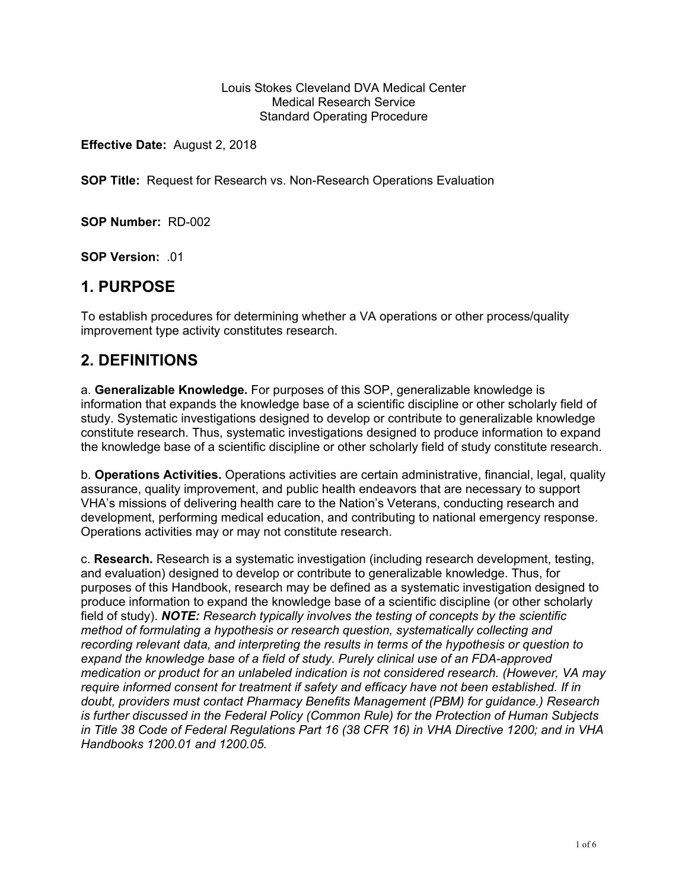#### Louis Stokes Cleveland DVA Medical Center Medical Research Service Standard Operating Procedure

**Effective Date:** August 2, 2018

**SOP Title:** Request for Research vs. Non-Research Operations Evaluation

**SOP Number:** RD-002

**SOP Version:** .01

## **1. PURPOSE**

To establish procedures for determining whether a VA operations or other process/quality improvement type activity constitutes research.

## **2. DEFINITIONS**

a. **Generalizable Knowledge.** For purposes of this SOP, generalizable knowledge is information that expands the knowledge base of a scientific discipline or other scholarly field of study. Systematic investigations designed to develop or contribute to generalizable knowledge constitute research. Thus, systematic investigations designed to produce information to expand the knowledge base of a scientific discipline or other scholarly field of study constitute research.

b. **Operations Activities.** Operations activities are certain administrative, financial, legal, quality assurance, quality improvement, and public health endeavors that are necessary to support VHA's missions of delivering health care to the Nation's Veterans, conducting research and development, performing medical education, and contributing to national emergency response. Operations activities may or may not constitute research.

c. **Research.** Research is a systematic investigation (including research development, testing, and evaluation) designed to develop or contribute to generalizable knowledge. Thus, for purposes of this Handbook, research may be defined as a systematic investigation designed to produce information to expand the knowledge base of a scientific discipline (or other scholarly field of study). *NOTE: Research typically involves the testing of concepts by the scientific method of formulating a hypothesis or research question, systematically collecting and recording relevant data, and interpreting the results in terms of the hypothesis or question to expand the knowledge base of a field of study. Purely clinical use of an FDA-approved medication or product for an unlabeled indication is not considered research. (However, VA may require informed consent for treatment if safety and efficacy have not been established. If in doubt, providers must contact Pharmacy Benefits Management (PBM) for guidance.) Research is further discussed in the Federal Policy (Common Rule) for the Protection of Human Subjects in Title 38 Code of Federal Regulations Part 16 (38 CFR 16) in VHA Directive 1200; and in VHA Handbooks 1200.01 and 1200.05.*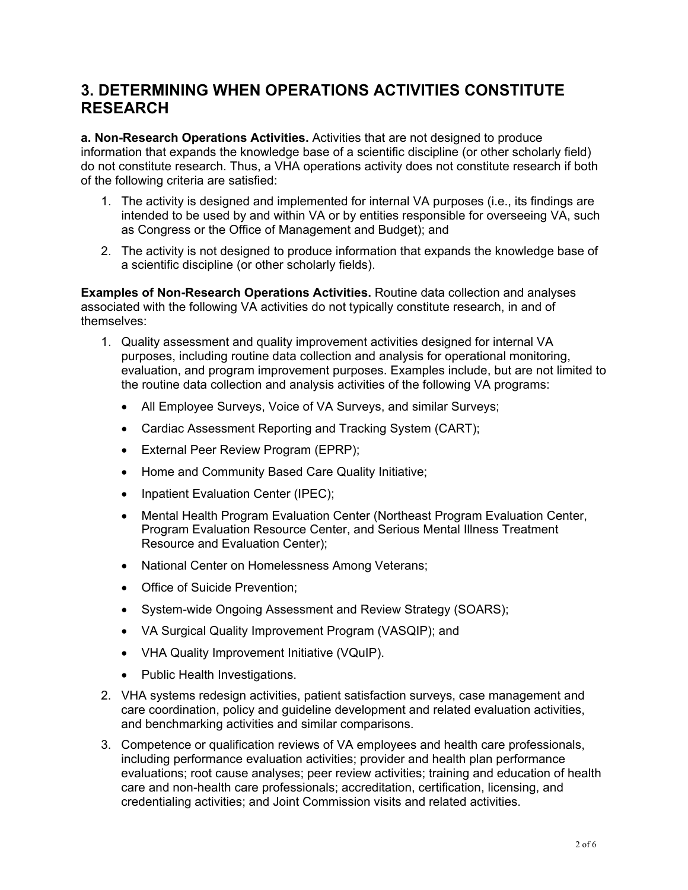## **3. DETERMINING WHEN OPERATIONS ACTIVITIES CONSTITUTE RESEARCH**

**a. Non-Research Operations Activities.** Activities that are not designed to produce information that expands the knowledge base of a scientific discipline (or other scholarly field) do not constitute research. Thus, a VHA operations activity does not constitute research if both of the following criteria are satisfied:

- 1. The activity is designed and implemented for internal VA purposes (i.e., its findings are intended to be used by and within VA or by entities responsible for overseeing VA, such as Congress or the Office of Management and Budget); and
- 2. The activity is not designed to produce information that expands the knowledge base of a scientific discipline (or other scholarly fields).

**Examples of Non-Research Operations Activities.** Routine data collection and analyses associated with the following VA activities do not typically constitute research, in and of themselves:

- 1. Quality assessment and quality improvement activities designed for internal VA purposes, including routine data collection and analysis for operational monitoring, evaluation, and program improvement purposes. Examples include, but are not limited to the routine data collection and analysis activities of the following VA programs:
	- All Employee Surveys, Voice of VA Surveys, and similar Surveys;
	- Cardiac Assessment Reporting and Tracking System (CART);
	- External Peer Review Program (EPRP);
	- Home and Community Based Care Quality Initiative;
	- Inpatient Evaluation Center (IPEC);
	- Mental Health Program Evaluation Center (Northeast Program Evaluation Center, Program Evaluation Resource Center, and Serious Mental Illness Treatment Resource and Evaluation Center);
	- National Center on Homelessness Among Veterans;
	- Office of Suicide Prevention:
	- System-wide Ongoing Assessment and Review Strategy (SOARS);
	- VA Surgical Quality Improvement Program (VASQIP); and
	- VHA Quality Improvement Initiative (VQuIP).
	- Public Health Investigations.
- 2. VHA systems redesign activities, patient satisfaction surveys, case management and care coordination, policy and guideline development and related evaluation activities, and benchmarking activities and similar comparisons.
- 3. Competence or qualification reviews of VA employees and health care professionals, including performance evaluation activities; provider and health plan performance evaluations; root cause analyses; peer review activities; training and education of health care and non-health care professionals; accreditation, certification, licensing, and credentialing activities; and Joint Commission visits and related activities.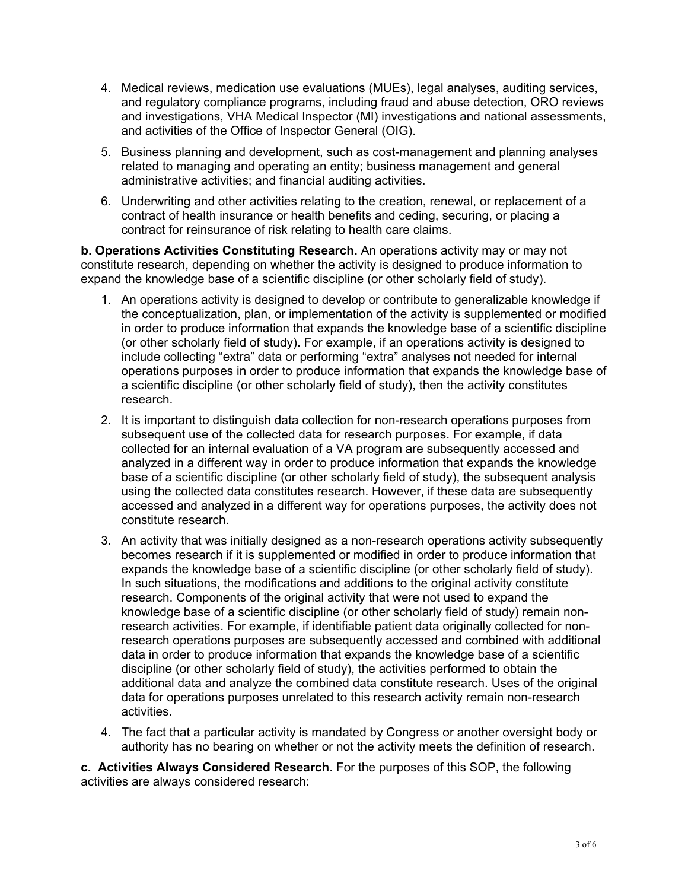- 4. Medical reviews, medication use evaluations (MUEs), legal analyses, auditing services, and regulatory compliance programs, including fraud and abuse detection, ORO reviews and investigations, VHA Medical Inspector (MI) investigations and national assessments, and activities of the Office of Inspector General (OIG).
- 5. Business planning and development, such as cost-management and planning analyses related to managing and operating an entity; business management and general administrative activities; and financial auditing activities.
- 6. Underwriting and other activities relating to the creation, renewal, or replacement of a contract of health insurance or health benefits and ceding, securing, or placing a contract for reinsurance of risk relating to health care claims.

**b. Operations Activities Constituting Research.** An operations activity may or may not constitute research, depending on whether the activity is designed to produce information to expand the knowledge base of a scientific discipline (or other scholarly field of study).

- 1. An operations activity is designed to develop or contribute to generalizable knowledge if the conceptualization, plan, or implementation of the activity is supplemented or modified in order to produce information that expands the knowledge base of a scientific discipline (or other scholarly field of study). For example, if an operations activity is designed to include collecting "extra" data or performing "extra" analyses not needed for internal operations purposes in order to produce information that expands the knowledge base of a scientific discipline (or other scholarly field of study), then the activity constitutes research.
- 2. It is important to distinguish data collection for non-research operations purposes from subsequent use of the collected data for research purposes. For example, if data collected for an internal evaluation of a VA program are subsequently accessed and analyzed in a different way in order to produce information that expands the knowledge base of a scientific discipline (or other scholarly field of study), the subsequent analysis using the collected data constitutes research. However, if these data are subsequently accessed and analyzed in a different way for operations purposes, the activity does not constitute research.
- 3. An activity that was initially designed as a non-research operations activity subsequently becomes research if it is supplemented or modified in order to produce information that expands the knowledge base of a scientific discipline (or other scholarly field of study). In such situations, the modifications and additions to the original activity constitute research. Components of the original activity that were not used to expand the knowledge base of a scientific discipline (or other scholarly field of study) remain nonresearch activities. For example, if identifiable patient data originally collected for nonresearch operations purposes are subsequently accessed and combined with additional data in order to produce information that expands the knowledge base of a scientific discipline (or other scholarly field of study), the activities performed to obtain the additional data and analyze the combined data constitute research. Uses of the original data for operations purposes unrelated to this research activity remain non-research activities.
- 4. The fact that a particular activity is mandated by Congress or another oversight body or authority has no bearing on whether or not the activity meets the definition of research.

**c. Activities Always Considered Research**. For the purposes of this SOP, the following activities are always considered research: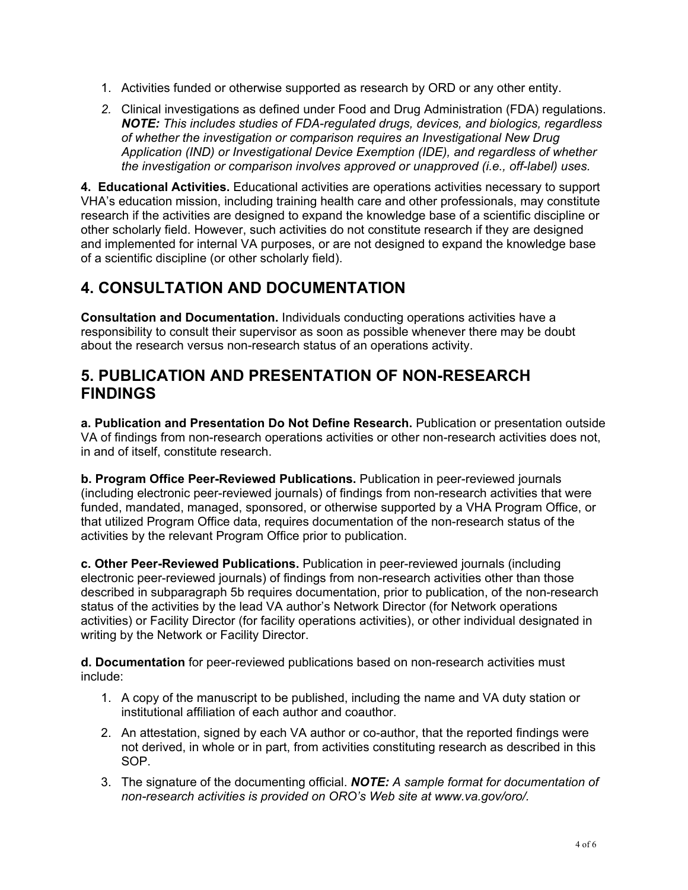- 1. Activities funded or otherwise supported as research by ORD or any other entity.
- *2.* Clinical investigations as defined under Food and Drug Administration (FDA) regulations. *NOTE: This includes studies of FDA-regulated drugs, devices, and biologics, regardless of whether the investigation or comparison requires an Investigational New Drug Application (IND) or Investigational Device Exemption (IDE), and regardless of whether the investigation or comparison involves approved or unapproved (i.e., off-label) uses.*

**4. Educational Activities.** Educational activities are operations activities necessary to support VHA's education mission, including training health care and other professionals, may constitute research if the activities are designed to expand the knowledge base of a scientific discipline or other scholarly field. However, such activities do not constitute research if they are designed and implemented for internal VA purposes, or are not designed to expand the knowledge base of a scientific discipline (or other scholarly field).

## **4. CONSULTATION AND DOCUMENTATION**

**Consultation and Documentation.** Individuals conducting operations activities have a responsibility to consult their supervisor as soon as possible whenever there may be doubt about the research versus non-research status of an operations activity.

#### **5. PUBLICATION AND PRESENTATION OF NON-RESEARCH FINDINGS**

**a. Publication and Presentation Do Not Define Research.** Publication or presentation outside VA of findings from non-research operations activities or other non-research activities does not, in and of itself, constitute research.

**b. Program Office Peer-Reviewed Publications.** Publication in peer-reviewed journals (including electronic peer-reviewed journals) of findings from non-research activities that were funded, mandated, managed, sponsored, or otherwise supported by a VHA Program Office, or that utilized Program Office data, requires documentation of the non-research status of the activities by the relevant Program Office prior to publication.

**c. Other Peer-Reviewed Publications.** Publication in peer-reviewed journals (including electronic peer-reviewed journals) of findings from non-research activities other than those described in subparagraph 5b requires documentation, prior to publication, of the non-research status of the activities by the lead VA author's Network Director (for Network operations activities) or Facility Director (for facility operations activities), or other individual designated in writing by the Network or Facility Director.

**d. Documentation** for peer-reviewed publications based on non-research activities must include:

- 1. A copy of the manuscript to be published, including the name and VA duty station or institutional affiliation of each author and coauthor.
- 2. An attestation, signed by each VA author or co-author, that the reported findings were not derived, in whole or in part, from activities constituting research as described in this SOP.
- 3. The signature of the documenting official. *NOTE: A sample format for documentation of non-research activities is provided on ORO's Web site at www.va.gov/oro/.*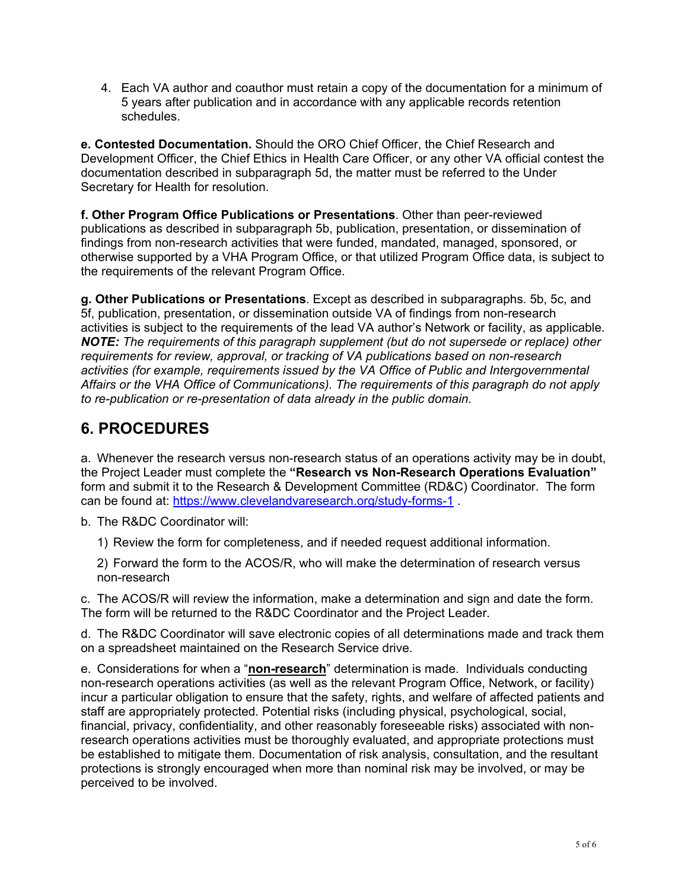4. Each VA author and coauthor must retain a copy of the documentation for a minimum of 5 years after publication and in accordance with any applicable records retention schedules.

**e. Contested Documentation.** Should the ORO Chief Officer, the Chief Research and Development Officer, the Chief Ethics in Health Care Officer, or any other VA official contest the documentation described in subparagraph 5d, the matter must be referred to the Under Secretary for Health for resolution.

**f. Other Program Office Publications or Presentations**. Other than peer-reviewed publications as described in subparagraph 5b, publication, presentation, or dissemination of findings from non-research activities that were funded, mandated, managed, sponsored, or otherwise supported by a VHA Program Office, or that utilized Program Office data, is subject to the requirements of the relevant Program Office.

**g. Other Publications or Presentations**. Except as described in subparagraphs. 5b, 5c, and 5f, publication, presentation, or dissemination outside VA of findings from non-research activities is subject to the requirements of the lead VA author's Network or facility, as applicable. *NOTE: The requirements of this paragraph supplement (but do not supersede or replace) other requirements for review, approval, or tracking of VA publications based on non-research activities (for example, requirements issued by the VA Office of Public and Intergovernmental Affairs or the VHA Office of Communications). The requirements of this paragraph do not apply to re-publication or re-presentation of data already in the public domain.* 

# **6. PROCEDURES**

a. Whenever the research versus non-research status of an operations activity may be in doubt, the Project Leader must complete the **"Research vs Non-Research Operations Evaluation"** form and submit it to the Research & Development Committee (RD&C) Coordinator. The form can be found at: https://www.clevelandvaresearch.org/study-forms-1.

b. The R&DC Coordinator will:

1) Review the form for completeness, and if needed request additional information.

2) Forward the form to the ACOS/R, who will make the determination of research versus non-research

c. The ACOS/R will review the information, make a determination and sign and date the form. The form will be returned to the R&DC Coordinator and the Project Leader.

on a spreadsheet maintained on the Research Service drive. d. The R&DC Coordinator will save electronic copies of all determinations made and track them

e. Considerations for when a "**non-research**" determination is made. Individuals conducting non-research operations activities (as well as the relevant Program Office, Network, or facility) incur a particular obligation to ensure that the safety, rights, and welfare of affected patients and staff are appropriately protected. Potential risks (including physical, psychological, social, financial, privacy, confidentiality, and other reasonably foreseeable risks) associated with nonresearch operations activities must be thoroughly evaluated, and appropriate protections must be established to mitigate them. Documentation of risk analysis, consultation, and the resultant protections is strongly encouraged when more than nominal risk may be involved, or may be perceived to be involved.